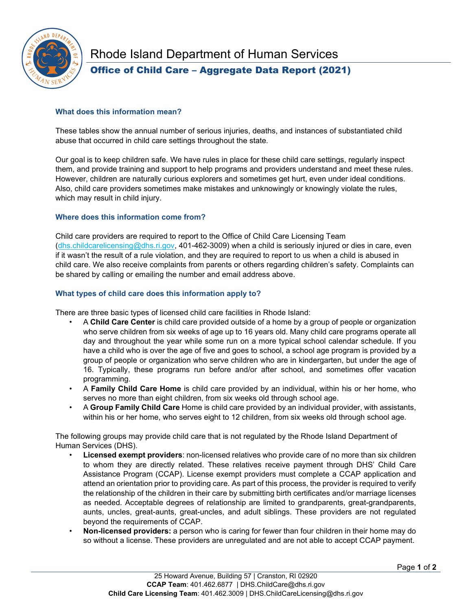

# Rhode Island Department of Human Services Office of Child Care – Aggregate Data Report (2021)

## **What does this information mean?**

These tables show the annual number of serious injuries, deaths, and instances of substantiated child abuse that occurred in child care settings throughout the state.

Our goal is to keep children safe. We have rules in place for these child care settings, regularly inspect them, and provide training and support to help programs and providers understand and meet these rules. However, children are naturally curious explorers and sometimes get hurt, even under ideal conditions. Also, child care providers sometimes make mistakes and unknowingly or knowingly violate the rules, which may result in child injury.

## **Where does this information come from?**

Child care providers are required to report to the Office of Child Care Licensing Team [\(dhs.childcarelicensing@dhs.ri.gov,](mailto:dhs.childcarelicensing@dhs.ri.gov) 401-462-3009) when a child is seriously injured or dies in care, even if it wasn't the result of a rule violation, and they are required to report to us when a child is abused in child care. We also receive complaints from parents or others regarding children's safety. Complaints can be shared by calling or emailing the number and email address above.

## **What types of child care does this information apply to?**

There are three basic types of licensed child care facilities in Rhode Island:

- A **Child Care Center** is child care provided outside of a home by a group of people or organization who serve children from six weeks of age up to 16 years old. Many child care programs operate all day and throughout the year while some run on a more typical school calendar schedule. If you have a child who is over the age of five and goes to school, a school age program is provided by a group of people or organization who serve children who are in kindergarten, but under the age of 16. Typically, these programs run before and/or after school, and sometimes offer vacation programming.
- A **Family Child Care Home** is child care provided by an individual, within his or her home, who serves no more than eight children, from six weeks old through school age.
- A **Group Family Child Care** Home is child care provided by an individual provider, with assistants, within his or her home, who serves eight to 12 children, from six weeks old through school age.

The following groups may provide child care that is not regulated by the Rhode Island Department of Human Services (DHS).

- **Licensed exempt providers**: non-licensed relatives who provide care of no more than six children to whom they are directly related. These relatives receive payment through DHS' Child Care Assistance Program (CCAP). License exempt providers must complete a CCAP application and attend an orientation prior to providing care. As part of this process, the provider is required to verify the relationship of the children in their care by submitting birth certificates and/or marriage licenses as needed. Acceptable degrees of relationship are limited to grandparents, great-grandparents, aunts, uncles, great-aunts, great-uncles, and adult siblings. These providers are not regulated beyond the requirements of CCAP.
- **Non-licensed providers:** a person who is caring for fewer than four children in their home may do so without a license. These providers are unregulated and are not able to accept CCAP payment.